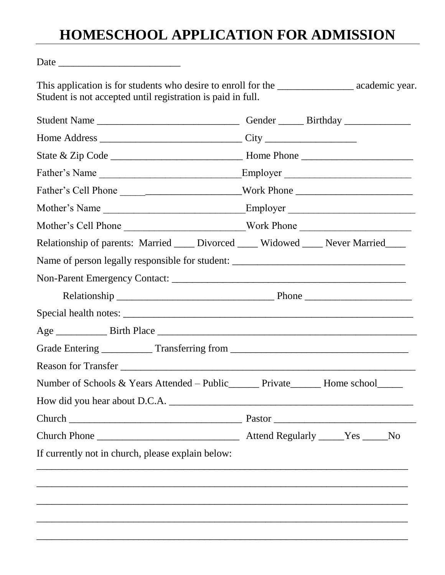## **HOMESCHOOL APPLICATION FOR ADMISSION**

Date \_\_\_\_\_\_\_\_\_\_\_\_\_\_\_\_\_\_\_\_\_\_\_\_

This application is for students who desire to enroll for the \_\_\_\_\_\_\_\_\_\_\_\_\_\_\_\_\_\_\_ academic year. Student is not accepted until registration is paid in full.

| Student Name                                                                       | Gender _______ Birthday ___________ |
|------------------------------------------------------------------------------------|-------------------------------------|
|                                                                                    |                                     |
|                                                                                    |                                     |
| Father's Name                                                                      | Employer                            |
| Father's Cell Phone _____________________________Work Phone _____________________  |                                     |
|                                                                                    |                                     |
| Mother's Cell Phone __________________________Work Phone _______________________   |                                     |
| Relationship of parents: Married ____ Divorced ____ Widowed ____ Never Married____ |                                     |
|                                                                                    |                                     |
|                                                                                    |                                     |
|                                                                                    |                                     |
|                                                                                    |                                     |
|                                                                                    |                                     |
|                                                                                    |                                     |
| Reason for Transfer                                                                |                                     |
| Number of Schools & Years Attended – Public_______ Private_______ Home school_____ |                                     |
|                                                                                    |                                     |
|                                                                                    |                                     |
|                                                                                    |                                     |
| If currently not in church, please explain below:                                  |                                     |
|                                                                                    |                                     |
|                                                                                    |                                     |
|                                                                                    |                                     |
|                                                                                    |                                     |
|                                                                                    |                                     |